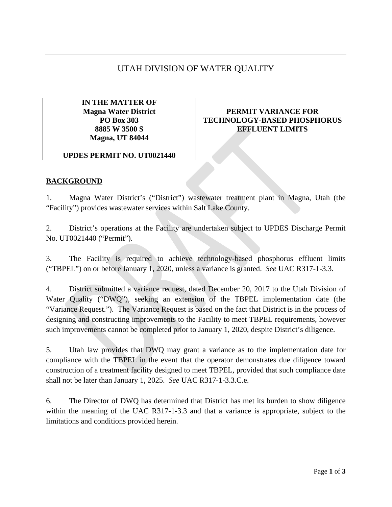# UTAH DIVISION OF WATER QUALITY

**IN THE MATTER OF Magna Water District PO Box 303 8885 W 3500 S Magna, UT 84044**

## **PERMIT VARIANCE FOR TECHNOLOGY-BASED PHOSPHORUS EFFLUENT LIMITS**

#### **UPDES PERMIT NO. UT0021440**

#### **BACKGROUND**

1. Magna Water District's ("District") wastewater treatment plant in Magna, Utah (the "Facility") provides wastewater services within Salt Lake County.

2. District's operations at the Facility are undertaken subject to UPDES Discharge Permit No. UT0021440 ("Permit").

3. The Facility is required to achieve technology-based phosphorus effluent limits ("TBPEL") on or before January 1, 2020, unless a variance is granted. *See* UAC R317-1-3.3.

4. District submitted a variance request, dated December 20, 2017 to the Utah Division of Water Quality ("DWQ"), seeking an extension of the TBPEL implementation date (the "Variance Request."). The Variance Request is based on the fact that District is in the process of designing and constructing improvements to the Facility to meet TBPEL requirements, however such improvements cannot be completed prior to January 1, 2020, despite District's diligence.

5. Utah law provides that DWQ may grant a variance as to the implementation date for compliance with the TBPEL in the event that the operator demonstrates due diligence toward construction of a treatment facility designed to meet TBPEL, provided that such compliance date shall not be later than January 1, 2025. *See* UAC R317-1-3.3.C.e.

6. The Director of DWQ has determined that District has met its burden to show diligence within the meaning of the UAC R317-1-3.3 and that a variance is appropriate, subject to the limitations and conditions provided herein.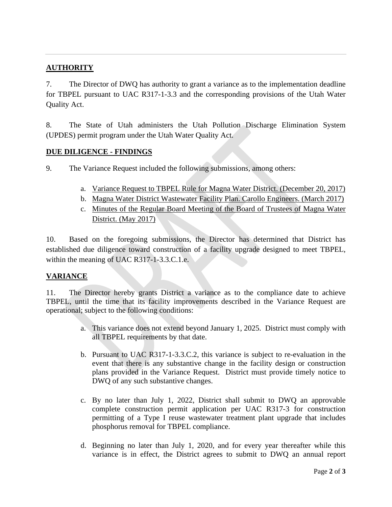# **AUTHORITY**

7. The Director of DWQ has authority to grant a variance as to the implementation deadline for TBPEL pursuant to UAC R317-1-3.3 and the corresponding provisions of the Utah Water Quality Act.

8. The State of Utah administers the Utah Pollution Discharge Elimination System (UPDES) permit program under the Utah Water Quality Act.

### **DUE DILIGENCE - FINDINGS**

9. The Variance Request included the following submissions, among others:

- a. Variance Request to TBPEL Rule for Magna Water District. (December 20, 2017)
- b. Magna Water District Wastewater Facility Plan. Carollo Engineers. (March 2017)
- c. Minutes of the Regular Board Meeting of the Board of Trustees of Magna Water District. (May 2017)

10. Based on the foregoing submissions, the Director has determined that District has established due diligence toward construction of a facility upgrade designed to meet TBPEL, within the meaning of UAC R317-1-3.3.C.1.e.

## **VARIANCE**

11. The Director hereby grants District a variance as to the compliance date to achieve TBPEL, until the time that its facility improvements described in the Variance Request are operational; subject to the following conditions:

- a. This variance does not extend beyond January 1, 2025. District must comply with all TBPEL requirements by that date.
- b. Pursuant to UAC R317-1-3.3.C.2, this variance is subject to re-evaluation in the event that there is any substantive change in the facility design or construction plans provided in the Variance Request. District must provide timely notice to DWQ of any such substantive changes.
- c. By no later than July 1, 2022, District shall submit to DWQ an approvable complete construction permit application per UAC R317-3 for construction permitting of a Type I reuse wastewater treatment plant upgrade that includes phosphorus removal for TBPEL compliance.
- d. Beginning no later than July 1, 2020, and for every year thereafter while this variance is in effect, the District agrees to submit to DWQ an annual report